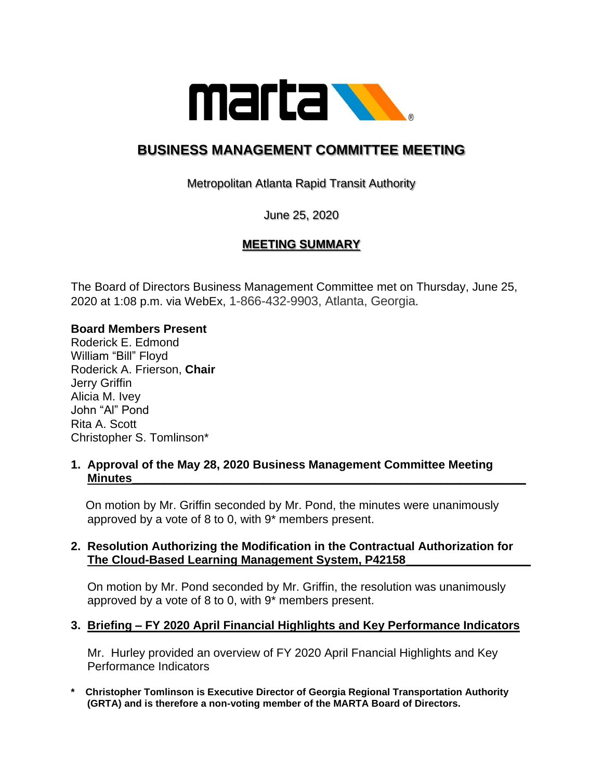

# **BUSINESS MANAGEMENT COMMITTEE MEETING**

Metropolitan Atlanta Rapid Transit Authority

June 25, 2020

# **MEETING SUMMARY**

The Board of Directors Business Management Committee met on Thursday, June 25, 2020 at 1:08 p.m. via WebEx, 1-866-432-9903, Atlanta, Georgia.

## **Board Members Present**

Roderick E. Edmond William "Bill" Floyd Roderick A. Frierson, **Chair** Jerry Griffin Alicia M. Ivey John "Al" Pond Rita A. Scott Christopher S. Tomlinson\*

#### **1. Approval of the May 28, 2020 Business Management Committee Meeting Minutes\_\_\_\_\_\_\_\_\_\_\_\_\_\_\_\_\_\_\_\_\_\_\_\_\_\_\_\_\_\_\_\_\_\_\_\_\_\_\_\_\_\_\_\_\_\_\_\_\_\_\_\_\_\_\_\_\_\_\_\_**

 On motion by Mr. Griffin seconded by Mr. Pond, the minutes were unanimously approved by a vote of 8 to 0, with 9\* members present.

## **2. Resolution Authorizing the Modification in the Contractual Authorization for The Cloud-Based Learning Management System, P42158\_\_\_\_\_\_\_\_\_\_\_\_\_\_\_\_\_\_\_**

 On motion by Mr. Pond seconded by Mr. Griffin, the resolution was unanimously approved by a vote of 8 to 0, with 9\* members present.

## **3. Briefing – FY 2020 April Financial Highlights and Key Performance Indicators**

 Mr. Hurley provided an overview of FY 2020 April Fnancial Highlights and Key Performance Indicators

**\* Christopher Tomlinson is Executive Director of Georgia Regional Transportation Authority (GRTA) and is therefore a non-voting member of the MARTA Board of Directors.**